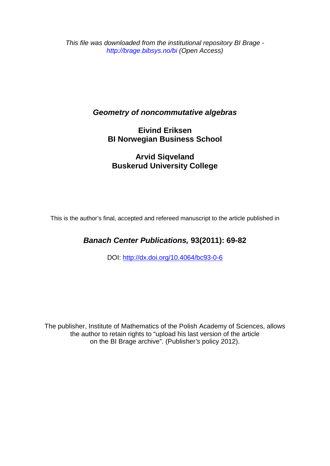*This file was downloaded from the institutional repository BI Brage http://brage.bibsys.no/bi (Open Access)*

## *Geometry of noncommutative algebras*

**Eivind Eriksen BI Norwegian Business School**

**Arvid Siqveland Buskerud University College**

This is the author's final, accepted and refereed manuscript to the article published in

# *Banach Center Publications,* **93(2011): 69-82**

DOI:<http://dx.doi.org/10.4064/bc93-0-6>

The publisher, Institute of Mathematics of the Polish Academy of Sciences, allows the author to retain rights to "upload his last version of the article on the BI Brage archive". (Publisher*'s* policy 2012).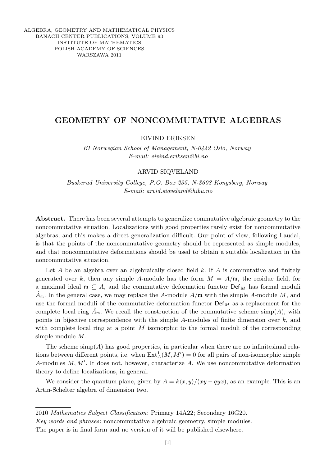ALGEBRA, GEOMETRY AND MATHEMATICAL PHYSICS BANACH CENTER PUBLICATIONS, VOLUME 93 INSTITUTE OF MATHEMATICS POLISH ACADEMY OF SCIENCES WARSZAWA 2011

## GEOMETRY OF NONCOMMUTATIVE ALGEBRAS

EIVIND ERIKSEN

BI Norwegian School of Management, N-0442 Oslo, Norway E-mail: eivind.eriksen@bi.no

### ARVID SIQVELAND

Buskerud University College, P.O. Box 235, N-3603 Kongsberg, Norway E-mail: arvid.siqveland@hibu.no

Abstract. There has been several attempts to generalize commutative algebraic geometry to the noncommutative situation. Localizations with good properties rarely exist for noncommutative algebras, and this makes a direct generalization difficult. Our point of view, following Laudal, is that the points of the noncommutative geometry should be represented as simple modules, and that noncommutative deformations should be used to obtain a suitable localization in the noncommutative situation.

Let  $A$  be an algebra over an algebraically closed field  $k$ . If  $A$  is commutative and finitely generated over k, then any simple A-module has the form  $M = A/m$ , the residue field, for a maximal ideal  $\mathfrak{m} \subseteq A$ , and the commutative deformation functor  $\mathrm{Def}_{M}$  has formal moduli  $\ddot{A}_{\mathfrak{m}}$ . In the general case, we may replace the A-module  $A/\mathfrak{m}$  with the simple A-module M, and use the formal moduli of the commutative deformation functor  $\mathsf{Def}_{M}$  as a replacement for the complete local ring  $\tilde{A}_{m}$ . We recall the construction of the commutative scheme simp(A), with points in bijective correspondence with the simple  $A$ -modules of finite dimension over  $k$ , and with complete local ring at a point M isomorphic to the formal moduli of the corresponding simple module M.

The scheme  $\text{simp}(A)$  has good properties, in particular when there are no infinitesimal relations between different points, i.e. when  $\text{Ext}_{A}^{1}(M, M') = 0$  for all pairs of non-isomorphic simple A-modules  $M, M'$ . It does not, however, characterize  $A$ . We use noncommutative deformation theory to define localizations, in general.

We consider the quantum plane, given by  $A = k\langle x, y \rangle/(xy - qyx)$ , as an example. This is an Artin-Schelter algebra of dimension two.

2010 Mathematics Subject Classification: Primary 14A22; Secondary 16G20.

Key words and phrases: noncommutative algebraic geometry, simple modules. The paper is in final form and no version of it will be published elsewhere.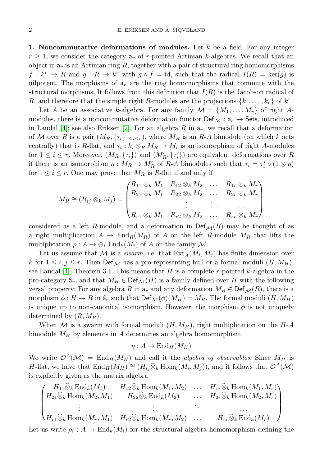1. Noncommutative deformations of modules. Let  $k$  be a field. For any integer  $r \geq 1$ , we consider the category  $a_r$  of r-pointed Artinian k-algebras. We recall that an object in  $a_r$  is an Artinian ring R, together with a pair of structural ring homomorphisms  $f: k^r \to R$  and  $g: R \to k^r$  with  $g \circ f = id$ , such that the radical  $I(R) = \text{ker}(g)$  is nilpotent. The morphisms of  $a_r$  are the ring homomorphisms that commute with the structural morphisms. It follows from this definition that  $I(R)$  is the Jacobson radical of R, and therefore that the simple right R-modules are the projections  $\{k_1, \ldots, k_r\}$  of  $k^r$ .

Let A be an associative k-algebra. For any family  $\mathcal{M} = \{M_1, \ldots, M_r\}$  of right Amodules, there is a noncommutative deformation functor  $\textsf{Def}_{\mathcal{M}}: a_r \to \textsf{Sets}$ , introduced in Laudal [\[4\]](#page-13-0); see also Eriksen [\[2\]](#page-13-1). For an algebra  $R$  in  $a_r$ , we recall that a deformation of M over R is a pair  $(M_R, \{ \tau_i \}_{1 \leq i \leq r})$ , where  $M_R$  is an R-A bimodule (on which k acts centrally) that is R-flat, and  $\tau_i : k_i \otimes_R M_R \to M_i$  is an isomorphism of right A-modules for  $1 \leq i \leq r$ . Moreover,  $(M_R, \{\tau_i\})$  and  $(M'_R, \{\tau'_i\})$  are equivalent deformations over R if there is an isomorphism  $\eta: M_R \to M'_R$  of R-A bimodules such that  $\tau_i = \tau'_i \circ (1 \otimes \eta)$ for  $1 \leq i \leq r$ . One may prove that  $M_R$  is R-flat if and only if

$$
M_R \cong (R_{ij} \otimes_k M_j) = \begin{pmatrix} R_{11} \otimes_k M_1 & R_{12} \otimes_k M_2 & \dots & R_{1r} \otimes_k M_r \\ R_{21} \otimes_k M_1 & R_{22} \otimes_k M_2 & \dots & R_{2r} \otimes_k M_r \\ \vdots & \vdots & \ddots & \vdots \\ R_{r1} \otimes_k M_1 & R_{r2} \otimes_k M_2 & \dots & R_{rr} \otimes_k M_r \end{pmatrix}
$$

considered as a left R-module, and a deformation in  $\text{Def}_{\mathcal{M}}(R)$  may be thought of as a right multiplication  $A \to \text{End}_R(M_R)$  of A on the left R-module  $M_R$  that lifts the multiplication  $\rho : A \to \bigoplus_i \text{End}_k(M_i)$  of A on the family  $\mathcal M$ .

Let us assume that M is a swarm, i.e. that  $\text{Ext}^1_A(M_i, M_j)$  has finite dimension over k for  $1 \leq i, j \leq r$ . Then  $\text{Def}_{\mathcal{M}}$  has a pro-representing hull or a formal moduli  $(H, M_H)$ , see Laudal [\[4\]](#page-13-0), Theorem 3.1. This means that H is a complete r-pointed k-algebra in the pro-category  $\hat{a}_r$ , and that  $M_H \in \text{Def}_{\mathcal{M}}(H)$  is a family defined over H with the following versal property: For any algebra R in  $a_r$  and any deformation  $M_R \in \text{Def}_{\mathcal{M}}(R)$ , there is a morphism  $\phi: H \to R$  in  $\hat{a}_r$  such that  $\text{Def}_{\mathcal{M}}(\phi)(M_H) = M_R$ . The formal moduli  $(H, M_H)$ is unique up to non-canonical isomorphism. However, the morphism  $\phi$  is not uniquely determined by  $(R, M_R)$ .

When  $M$  is a swarm with formal moduli  $(H, M_H)$ , right multiplication on the  $H-A$ bimodule  $M_H$  by elements in A determines an algebra homomorphism

$$
\eta:A\to\mathrm{End}_{H}(M_{H})
$$

We write  $\mathcal{O}^A(\mathcal{M}) = \text{End}_H(M_H)$  and call it the *algebra of observables*. Since  $M_H$  is H-flat, we have that  $\text{End}_H(M_H) \cong (H_{ij} \widehat{\otimes}_k \text{Hom}_k(M_i, M_j)),$  and it follows that  $\mathcal{O}^A(\mathcal{M})$ is explicitly given as the matrix algebra

$$
\begin{pmatrix}\nH_{11}\widehat{\otimes}_k \operatorname{End}_k(M_1) & H_{12}\widehat{\otimes}_k \operatorname{Hom}_k(M_1, M_2) & \dots & H_{1r}\widehat{\otimes}_k \operatorname{Hom}_k(M_1, M_r) \\
H_{21}\widehat{\otimes}_k \operatorname{Hom}_k(M_2, M_1) & H_{22}\widehat{\otimes}_k \operatorname{End}_k(M_2) & \dots & H_{2r}\widehat{\otimes}_k \operatorname{Hom}_k(M_2, M_r) \\
\vdots & \vdots & \ddots & \vdots \\
H_{r1}\widehat{\otimes}_k \operatorname{Hom}_k(M_r, M_1) & H_{r2}\widehat{\otimes}_k \operatorname{Hom}_k(M_r, M_2) & \dots & H_{rr}\widehat{\otimes}_k \operatorname{End}_k(M_r)\n\end{pmatrix}
$$

Let us write  $\rho_i: A \to \text{End}_k(M_i)$  for the structural algebra homomorphism defining the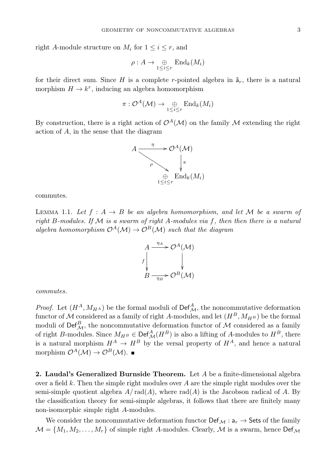right A-module structure on  $M_i$  for  $1 \leq i \leq r$ , and

$$
\rho: A \to \bigoplus_{1 \leq i \leq r} \text{End}_k(M_i)
$$

for their direct sum. Since H is a complete r-pointed algebra in  $\hat{a}_r$ , there is a natural morphism  $H \to k^r$ , inducing an algebra homomorphism

$$
\pi: \mathcal{O}^A(\mathcal{M}) \to \bigoplus_{1 \leq i \leq r} \mathrm{End}_k(M_i)
$$

By construction, there is a right action of  $\mathcal{O}^{A}(\mathcal{M})$  on the family M extending the right action of A, in the sense that the diagram



commutes.

LEMMA 1.1. Let  $f : A \rightarrow B$  be an algebra homomorphism, and let M be a swarm of right B-modules. If  $M$  is a swarm of right A-modules via f, then then there is a natural algebra homomorphism  $\mathcal{O}^A(\mathcal{M}) \to \mathcal{O}^B(\mathcal{M})$  such that the diagram



commutes.

*Proof.* Let  $(H^A, M_{H^A})$  be the formal moduli of  $\text{Def}_{\mathcal{M}}^A$ , the noncommutative deformation functor of M considered as a family of right A-modules, and let  $(H^B, M_{H^B})$  be the formal moduli of  $\mathsf{Def}_{\mathcal{M}}^B$ , the noncommutative deformation functor of  $\mathcal M$  considered as a family of right B-modules. Since  $M_{H^B} \in \mathrm{Def}_{\mathcal{M}}^A(H^B)$  is also a lifting of A-modules to  $H^B$ , there is a natural morphism  $H^A \to H^B$  by the versal property of  $H^A$ , and hence a natural morphism  $\mathcal{O}^{A}(\mathcal{M}) \to \mathcal{O}^{B}(\mathcal{M})$ .

2. Laudal's Generalized Burnside Theorem. Let  $A$  be a finite-dimensional algebra over a field k. Then the simple right modules over A are the simple right modules over the semi-simple quotient algebra  $A/\text{rad}(A)$ , where  $\text{rad}(A)$  is the Jacobson radical of A. By the classification theory for semi-simple algebras, it follows that there are finitely many non-isomorphic simple right A-modules.

We consider the noncommutative deformation functor  $\textsf{Def}_{\mathcal{M}}: \mathsf{a}_r \to \textsf{Sets}$  of the family  $\mathcal{M} = \{M_1, M_2, \ldots, M_r\}$  of simple right A-modules. Clearly, M is a swarm, hence  $\textsf{Def}_{\mathcal{M}}$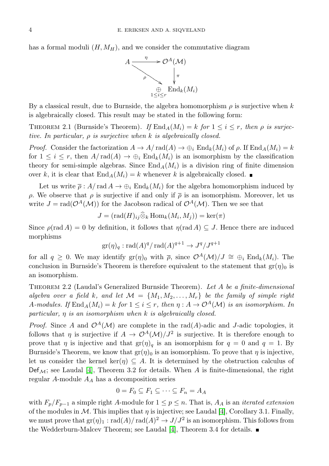has a formal moduli  $(H, M_H)$ , and we consider the commutative diagram



By a classical result, due to Burnside, the algebra homomorphism  $\rho$  is surjective when k is algebraically closed. This result may be stated in the following form:

THEOREM 2.1 (Burnside's Theorem). If  $\text{End}_A(M_i) = k$  for  $1 \le i \le r$ , then  $\rho$  is surjective. In particular,  $\rho$  is surjective when k is algebraically closed.

*Proof.* Consider the factorization  $A \to A/\text{rad}(A) \to \bigoplus_i \text{End}_k(M_i)$  of  $\rho$ . If End<sub>A</sub> $(M_i) = k$ for  $1 \leq i \leq r$ , then  $A/\text{rad}(A) \to \bigoplus_i \text{End}_k(M_i)$  is an isomorphism by the classification theory for semi-simple algebras. Since  $\text{End}_A(M_i)$  is a division ring of finite dimension over k, it is clear that  $\text{End}_A(M_i) = k$  whenever k is algebraically closed.

Let us write  $\bar{\rho}$ :  $A/\text{rad } A \to \bigoplus_i \text{End}_k(M_i)$  for the algebra homomorphism induced by ρ. We observe that ρ is surjective if and only if ρ is an isomorphism. Moreover, let us write  $J = \text{rad}(\mathcal{O}^A(\mathcal{M}))$  for the Jacobson radical of  $\mathcal{O}^A(\mathcal{M})$ . Then we see that

$$
J = (\text{rad}(H)_{ij} \widehat{\otimes}_k \text{Hom}_k(M_i, M_j)) = \text{ker}(\pi)
$$

Since  $\rho(\text{rad } A) = 0$  by definition, it follows that  $\eta(\text{rad } A) \subseteq J$ . Hence there are induced morphisms

$$
\mathrm{gr}(\eta)_q : \mathrm{rad}(A)^q / \mathrm{rad}(A)^{q+1} \to J^q / J^{q+1}
$$

for all  $q \geq 0$ . We may identify  $\operatorname{gr}(\eta)_0$  with  $\overline{\rho}$ , since  $\mathcal{O}^A(\mathcal{M})/J \cong \bigoplus_i \operatorname{End}_k(M_i)$ . The conclusion in Burnside's Theorem is therefore equivalent to the statement that  $gr(\eta)_0$  is an isomorphism.

Theorem 2.2 (Laudal's Generalized Burnside Theorem). Let A be a finite-dimensional algebra over a field k, and let  $\mathcal{M} = \{M_1, M_2, \ldots, M_r\}$  be the family of simple right A-modules. If  $\text{End}_A(M_i) = k$  for  $1 \leq i \leq r$ , then  $\eta : A \to \mathcal{O}^A(\mathcal{M})$  is an isomorphism. In particular,  $\eta$  is an isomorphism when  $k$  is algebraically closed.

*Proof.* Since A and  $\mathcal{O}^A(\mathcal{M})$  are complete in the rad(A)-adic and J-adic topologies, it follows that  $\eta$  is surjective if  $A \to \mathcal{O}^A(\mathcal{M})/J^2$  is surjective. It is therefore enough to prove that  $\eta$  is injective and that  $gr(\eta)_q$  is an isomorphism for  $q = 0$  and  $q = 1$ . By Burnside's Theorem, we know that  $gr(\eta)_0$  is an isomorphism. To prove that  $\eta$  is injective, let us consider the kernel ker( $\eta$ )  $\subseteq A$ . It is determined by the obstruction calculus of  $Def_{\mathcal{M}}$ ; see Laudal [\[4\]](#page-13-0), Theorem 3.2 for details. When A is finite-dimensional, the right regular A-module  $A_A$  has a decomposition series

$$
0 = F_0 \subseteq F_1 \subseteq \cdots \subseteq F_n = A_A
$$

with  $F_p/F_{p-1}$  a simple right A-module for  $1 \leq p \leq n$ . That is,  $A_A$  is an *iterated extension* of the modules in  $M$ . This implies that  $\eta$  is injective; see Laudal [\[4\]](#page-13-0), Corollary 3.1. Finally, we must prove that  $gr(\eta)_1 : rad(A)/ rad(A)^2 \to J/J^2$  is an isomorphism. This follows from the Wedderburn-Malcev Theorem; see Laudal [\[4\]](#page-13-0), Theorem 3.4 for details.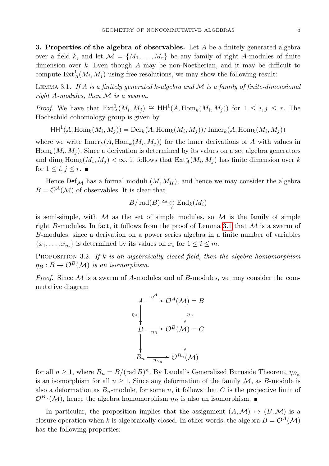3. Properties of the algebra of observables. Let  $A$  be a finitely generated algebra over a field k, and let  $\mathcal{M} = \{M_1, \ldots, M_r\}$  be any family of right A-modules of finite dimension over  $k$ . Even though  $A$  may be non-Noetherian, and it may be difficult to compute  $\text{Ext}_{A}^{1}(M_{i}, M_{j})$  using free resolutions, we may show the following result:

<span id="page-5-0"></span>LEMMA 3.1. If  $A$  is a finitely generated  $k$ -algebra and  $M$  is a family of finite-dimensional right A-modules, then M is a swarm.

*Proof.* We have that  $\text{Ext}^1_A(M_i, M_j) \cong \text{HH}^1(A, \text{Hom}_k(M_i, M_j))$  for  $1 \leq i, j \leq r$ . The Hochschild cohomology group is given by

 $\operatorname{HH}^1(A, \operatorname{Hom}_k(M_i, M_j)) = \operatorname{Der}_k(A, \operatorname{Hom}_k(M_i, M_j)) / \operatorname{Inner}_k(A, \operatorname{Hom}_k(M_i, M_j))$ 

where we write  $\text{Inner}_k(A, \text{Hom}_k(M_i, M_j))$  for the inner derivations of A with values in  $\text{Hom}_k(M_i, M_j)$ . Since a derivation is determined by its values on a set algebra generators and  $\dim_k \text{Hom}_k(M_i, M_j) < \infty$ , it follows that  $\text{Ext}^1_A(M_i, M_j)$  has finite dimension over k for  $1 \leq i, j \leq r$ .

Hence  $\text{Def}_{\mathcal{M}}$  has a formal moduli  $(M, M_H)$ , and hence we may consider the algebra  $B = \mathcal{O}^{A}(\mathcal{M})$  of observables. It is clear that

$$
B/\operatorname{rad}(B)\cong \mathop{\oplus}\limits_i\operatorname{End}_k(M_i)
$$

is semi-simple, with  $\mathcal M$  as the set of simple modules, so  $\mathcal M$  is the family of simple right B-modules. In fact, it follows from the proof of Lemma [3.1](#page-5-0) that  $M$  is a swarm of B-modules, since a derivation on a power series algebra in a finite number of variables  $\{x_1, \ldots, x_m\}$  is determined by its values on  $x_i$  for  $1 \leq i \leq m$ .

PROPOSITION 3.2. If  $k$  is an algebraically closed field, then the algebra homomorphism  $\eta_B : B \to \mathcal{O}^B(\mathcal{M})$  is an isomorphism.

*Proof.* Since  $M$  is a swarm of A-modules and of B-modules, we may consider the commutative diagram



for all  $n \geq 1$ , where  $B_n = B/(\text{rad }B)^n$ . By Laudal's Generalized Burnside Theorem,  $\eta_{B_n}$ is an isomorphism for all  $n \geq 1$ . Since any deformation of the family  $\mathcal{M}$ , as B-module is also a deformation as  $B_n$ -module, for some n, it follows that C is the projective limit of  $\mathcal{O}^{B_n}(\mathcal{M})$ , hence the algebra homomorphism  $\eta_B$  is also an isomorphism.

In particular, the proposition implies that the assignment  $(A, \mathcal{M}) \rightarrow (B, \mathcal{M})$  is a closure operation when k is algebraically closed. In other words, the algebra  $B = \mathcal{O}^A(\mathcal{M})$ has the following properties: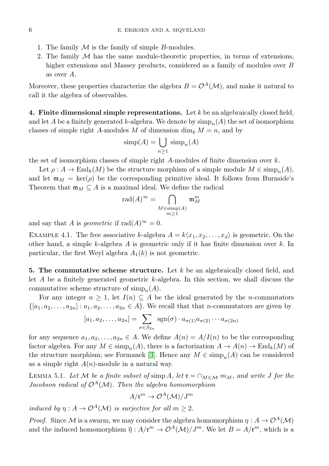- 1. The family  $M$  is the family of simple B-modules.
- 2. The family  $M$  has the same module-theoretic properties, in terms of extensions, higher extensions and Massey products, considered as a family of modules over B as over A.

Moreover, these properties characterize the algebra  $B = \mathcal{O}^{A}(\mathcal{M})$ , and make it natural to call it the algebra of observables.

4. Finite dimensional simple representations. Let  $k$  be an algebraically closed field, and let A be a finitely generated k-algebra. We denote by  $\text{simp}_n(A)$  the set of isomorphism classes of simple right A-modules M of dimension  $\dim_k M = n$ , and by

$$
simp(A) = \bigcup_{n\geq 1} simp_n(A)
$$

the set of isomorphism classes of simple right A-modules of finite dimension over k.

Let  $\rho: A \to \text{End}_k(M)$  be the structure morphism of a simple module  $M \in \text{simp}_n(A)$ , and let  $\mathfrak{m}_M = \text{ker}(\rho)$  be the corresponding primitive ideal. It follows from Burnside's Theorem that  $\mathfrak{m}_M \subseteq A$  is a maximal ideal. We define the radical

$$
\mathrm{rad}(A)^{\infty} = \bigcap_{\substack{M \in \mathrm{simp}(A) \\ m \ge 1}} \mathfrak{m}_M^m
$$

and say that A is geometric if  $rad(A)^\infty = 0$ .

EXAMPLE 4.1. The free associative k-algebra  $A = k\langle x_1, x_2, \ldots, x_d \rangle$  is geometric. On the other hand, a simple k-algebra A is geometric only if it has finite dimension over  $k$ . In particular, the first Weyl algebra  $A_1(k)$  is not geometric.

**5. The commutative scheme structure.** Let k be an algebraically closed field, and let  $A$  be a finitely generated geometric  $k$ -algebra. In this section, we shall discuss the commutative scheme structure of  $\text{simp}_n(A)$ .

For any integer  $n \geq 1$ , let  $I(n) \subseteq A$  be the ideal generated by the *n*-commutators  $\{[a_1, a_2, \ldots, a_{2n}] : a_1, a_2, \ldots, a_{2n} \in A\}$ . We recall that that *n*-commutators are given by

$$
[a_1, a_2, \dots, a_{2n}] = \sum_{\sigma \in S_{2n}} \text{sgn}(\sigma) \cdot a_{\sigma(1)} a_{\sigma(2)} \cdots a_{\sigma(2n)}
$$

for any sequence  $a_1, a_2, \ldots, a_{2n} \in A$ . We define  $A(n) = A/I(n)$  to be the corresponding factor algebra. For any  $M \in \text{simp}_n(A)$ , there is a factorization  $A \to A(n) \to \text{End}_k(M)$  of the structure morphism; see Formanek [\[3\]](#page-13-2). Hence any  $M \in \text{simp}_n(A)$  can be considered as a simple right  $A(n)$ -module in a natural way.

<span id="page-6-0"></span>LEMMA 5.1. Let M be a finite subset of simp A, let  $\mathfrak{r} = \cap_{M \in \mathcal{M}} m_M$ , and write J for the Jacobson radical of  $\mathcal{O}^A(\mathcal{M})$ . Then the algebra homomorphism

$$
A/\mathfrak{r}^m \to \mathcal{O}^A(\mathcal{M})/J^m
$$

induced by  $\eta: A \to \mathcal{O}^{A}(\mathcal{M})$  is surjective for all  $m \geq 2$ .

*Proof.* Since M is a swarm, we may consider the algebra homomorphism  $\eta : A \to \mathcal{O}^A(\mathcal{M})$ and the induced homomorphism  $\overline{\eta}: A/\mathfrak{r}^m \to \mathcal{O}^A(\mathcal{M})/J^m$ . We let  $B = A/\mathfrak{r}^m$ , which is a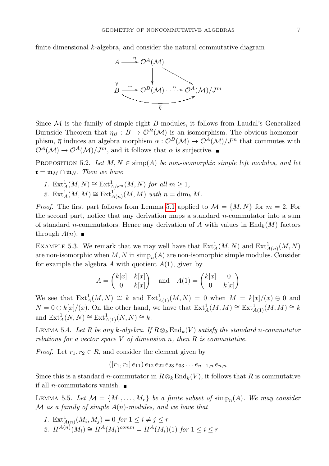finite dimensional  $k$ -algebra, and consider the natural commutative diagram



Since  $M$  is the family of simple right  $B$ -modules, it follows from Laudal's Generalized Burnside Theorem that  $\eta_B : B \to \mathcal{O}^B(\mathcal{M})$  is an isomorphism. The obvious homomorphism,  $\bar{\eta}$  induces an algebra morphism  $\alpha : \mathcal{O}^B(\mathcal{M}) \to \mathcal{O}^A(\mathcal{M})/J^m$  that commutes with  $\mathcal{O}^A(\mathcal{M}) \to \mathcal{O}^A(\mathcal{M})/J^m$ , and it follows that  $\alpha$  is surjective.

<span id="page-7-1"></span>PROPOSITION 5.2. Let  $M, N \in \text{simp}(A)$  be non-isomorphic simple left modules, and let  $\mathfrak{r} = \mathfrak{m}_M \cap \mathfrak{m}_N$ . Then we have

1.  $\text{Ext}^1_A(M,N) \cong \text{Ext}^1_{A/\mathfrak{r}^m}(M,N)$  for all  $m \geq 1$ , 2.  $\mathrm{Ext}^1_A(M,M) \cong \mathrm{Ext}^1_{A(n)}(M,M)$  with  $n = \dim_k M$ .

*Proof.* The first part follows from Lemma [5.1](#page-6-0) applied to  $\mathcal{M} = \{M, N\}$  for  $m = 2$ . For the second part, notice that any derivation maps a standard n-commutator into a sum of standard n-commutators. Hence any derivation of A with values in  $\text{End}_k(M)$  factors through  $A(n)$ .

EXAMPLE 5.3. We remark that we may well have that  $\text{Ext}^1_A(M, N)$  and  $\text{Ext}^1_{A(n)}(M, N)$ are non-isomorphic when  $M, N$  in  $\text{simp}_n(A)$  are non-isomorphic simple modules. Consider for example the algebra A with quotient  $A(1)$ , given by

$$
A = \begin{pmatrix} k[x] & k[x] \\ 0 & k[x] \end{pmatrix} \text{ and } A(1) = \begin{pmatrix} k[x] & 0 \\ 0 & k[x] \end{pmatrix}
$$

We see that  $\text{Ext}^1_A(M,N) \cong k$  and  $\text{Ext}^1_{A(1)}(M,N) = 0$  when  $M = k[x]/(x) \oplus 0$  and  $N = 0 \oplus k[x]/(x)$ . On the other hand, we have that  $\text{Ext}^1_A(M, M) \cong \text{Ext}^1_{A(1)}(M, M) \cong k$ and  $\text{Ext}^1_A(N,N) \cong \text{Ext}^1_{A(1)}(N,N) \cong k.$ 

<span id="page-7-0"></span>LEMMA 5.4. Let R be any k-algebra. If  $R \otimes_k \text{End}_k(V)$  satisfy the standard n-commutator relations for a vector space  $V$  of dimension n, then  $R$  is commutative.

*Proof.* Let  $r_1, r_2 \in R$ , and consider the element given by

$$
([r_1, r_2] e_{11}) e_{12} e_{22} e_{23} e_{33} \dots e_{n-1,n} e_{n,n}
$$

Since this is a standard n-commutator in  $R \otimes_k \text{End}_k(V)$ , it follows that R is commutative if all *n*-commutators vanish.  $\blacksquare$ 

<span id="page-7-2"></span>LEMMA 5.5. Let  $\mathcal{M} = \{M_1, \ldots, M_r\}$  be a finite subset of simp<sub>n</sub>(A). We may consider  $\mathcal M$  as a family of simple  $A(n)$ -modules, and we have that

1.  $\operatorname{Ext}_{A(n)}^1(M_i, M_j) = 0$  for  $1 \leq i \neq j \leq r$ 2.  $H^{A(n)}(M_i) \cong H^A(M_i)^{comm} = H^A(M_i)(1)$  for  $1 \leq i \leq r$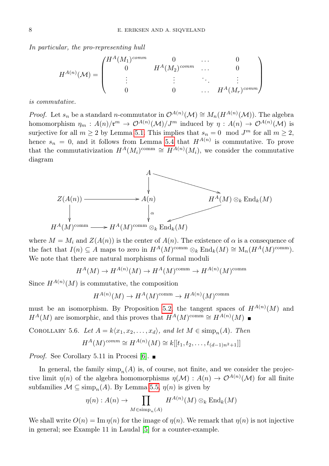In particular, the pro-representing hull

$$
H^{A(n)}(\mathcal{M}) = \begin{pmatrix} H^{A}(M_{1})^{comm} & 0 & \cdots & 0 \\ 0 & H^{A}(M_{2})^{comm} & \cdots & 0 \\ \vdots & \vdots & \ddots & \vdots \\ 0 & 0 & \cdots & H^{A}(M_{r})^{comm} \end{pmatrix}
$$

is commutative.

*Proof.* Let  $s_n$  be a standard *n*-commutator in  $\mathcal{O}^{A(n)}(\mathcal{M}) \cong M_n(H^{A(n)}(\mathcal{M}))$ . The algebra homomorphism  $\eta_m: A(n)/\mathfrak{r}^m \to \mathcal{O}^{A(n)}(\mathcal{M})/J^m$  induced by  $\eta: A(n) \to \mathcal{O}^{A(n)}(\mathcal{M})$  is surjective for all  $m \ge 2$  by Lemma [5.1.](#page-6-0) This implies that  $s_n = 0 \mod J^m$  for all  $m \ge 2$ , hence  $s_n = 0$ , and it follows from Lemma [5.4](#page-7-0) that  $H^{A(n)}$  is commutative. To prove that the commutativization  $H^A(M_i)^{\text{comm}} \cong H^{A(n)}(M_i)$ , we consider the commutative diagram



where  $M = M_i$  and  $Z(A(n))$  is the center of  $A(n)$ . The existence of  $\alpha$  is a consequence of the fact that  $I(n) \subseteq A$  maps to zero in  $H^A(M)^{\text{comm}} \otimes_k \text{End}_k(M) \cong M_n(H^A(M)^{\text{comm}})$ . We note that there are natural morphisms of formal moduli

$$
H^{A}(M) \to H^{A(n)}(M) \to H^{A}(M)^{comm} \to H^{A(n)}(M)^{comm}
$$

Since  $H^{A(n)}(M)$  is commutative, the composition

$$
H^{A(n)}(M) \to H^A(M)^{\text{comm}} \to H^{A(n)}(M)^{\text{comm}}
$$

must be an isomorphism. By Proposition [5.2,](#page-7-1) the tangent spaces of  $H^{A(n)}(M)$  and  $H^A(M)$  are isomorphic, and this proves that  $H^A(M)^{\text{comm}} \cong H^{A(n)}(M)$ 

COROLLARY 5.6. Let  $A = k\langle x_1, x_2, \ldots, x_d \rangle$ , and let  $M \in \text{simp}_n(A)$ . Then

$$
H^{A}(M)^{comm} \cong H^{A(n)}(M) \cong k[[t_1, t_2, \dots, t_{(d-1)n^2+1}]]
$$

*Proof.* See Corollary 5.11 in Procesi [\[6\]](#page-14-0).  $\blacksquare$ 

In general, the family  $\text{simp}_n(A)$  is, of course, not finite, and we consider the projective limit  $\eta(n)$  of the algebra homomorphisms  $\eta(\mathcal{M}) : A(n) \to \mathcal{O}^{A(n)}(\mathcal{M})$  for all finite subfamilies  $\mathcal{M} \subseteq \text{simp}_n(A)$ . By Lemma [5.5,](#page-7-2)  $\eta(n)$  is given by

$$
\eta(n): A(n) \to \prod_{M \in \text{simp}_n(A)} H^{A(n)}(M) \otimes_k \text{End}_k(M)
$$

We shall write  $O(n) = \text{Im } \eta(n)$  for the image of  $\eta(n)$ . We remark that  $\eta(n)$  is not injective in general; see Example 11 in Laudal [\[5\]](#page-14-1) for a counter-example.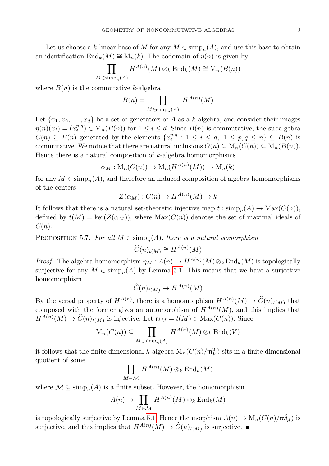Let us choose a k-linear base of M for any  $M \in \text{simp}_n(A)$ , and use this base to obtain an identification  $\text{End}_k(M) \cong M_n(k)$ . The codomain of  $\eta(n)$  is given by

$$
\prod_{M \in \text{simp}_n(A)} H^{A(n)}(M) \otimes_k \text{End}_k(M) \cong \text{M}_n(B(n))
$$

where  $B(n)$  is the commutative k-algebra

$$
B(n) = \prod_{M \in \text{simp}_n(A)} H^{A(n)}(M)
$$

Let  $\{x_1, x_2, \ldots, x_d\}$  be a set of generators of A as a k-algebra, and consider their images  $\eta(n)(x_i) = (x_i^{p,q}) \in M_n(B(n))$  for  $1 \leq i \leq d$ . Since  $B(n)$  is commutative, the subalgebra  $C(n) \subseteq B(n)$  generated by the elements  $\{x_i^{p,q}: 1 \le i \le d, 1 \le p,q \le n\} \subseteq B(n)$  is commutative. We notice that there are natural inclusions  $O(n) \subseteq M_n(C(n)) \subseteq M_n(B(n)).$ Hence there is a natural composition of  $k$ -algebra homomorphisms

$$
\alpha_M: \mathrm{M}_n(C(n)) \to \mathrm{M}_n(H^{A(n)}(M)) \to \mathrm{M}_n(k)
$$

for any  $M \in \text{simp}_n(A)$ , and therefore an induced composition of algebra homomorphisms of the centers

$$
Z(\alpha_M) : C(n) \to H^{A(n)}(M) \to k
$$

It follows that there is a natural set-theoretic injective map  $t : \text{simp}_n(A) \to \text{Max}(C(n)),$ defined by  $t(M) = \ker(Z(\alpha_M))$ , where  $\text{Max}(C(n))$  denotes the set of maximal ideals of  $C(n).$ 

PROPOSITION 5.7. For all  $M \in \text{simp}_n(A)$ , there is a natural isomorphism

$$
\widehat{C}(n)_{t(M)} \cong H^{A(n)}(M)
$$

*Proof.* The algebra homomorphism  $\eta_M : A(n) \to H^{A(n)}(M) \otimes_k \text{End}_k(M)$  is topologically surjective for any  $M \in \text{simp}_n(A)$  by Lemma [5.1.](#page-6-0) This means that we have a surjective homomorphism

$$
\widehat{C}(n)_{t(M)} \to H^{A(n)}(M)
$$

By the versal property of  $H^{A(n)}$ , there is a homomorphism  $H^{A(n)}(M) \to \widehat{C}(n)_{t(M)}$  that composed with the former gives an automorphism of  $H^{A(n)}(M)$ , and this implies that  $H^{A(n)}(M) \to \widehat{C}(n)_{t(M)}$  is injective. Let  $\mathfrak{m}_M = t(M) \in \text{Max}(C(n))$ . Since

$$
\mathrm{M}_n(C(n)) \subseteq \prod_{M \in \mathrm{simp}_n(A)} H^{A(n)}(M) \otimes_k \mathrm{End}_k(V)
$$

it follows that the finite dimensional k-algebra  $M_n(C(n)/m_V^2)$  sits in a finite dimensional quotient of some

$$
\prod_{M \in \mathcal{M}} H^{A(n)}(M) \otimes_k \mathrm{End}_k(M)
$$

where  $\mathcal{M} \subseteq \text{simp}_n(A)$  is a finite subset. However, the homomorphism

$$
A(n) \to \prod_{M \in \mathcal{M}} H^{A(n)}(M) \otimes_k \mathrm{End}_k(M)
$$

is topologically surjective by Lemma [5.1.](#page-6-0) Hence the morphism  $A(n) \to M_n(C(n)/m_M^2)$  is surjective, and this implies that  $H^{A(n)}(M) \to \widehat{C}(n)_{t(M)}$  is surjective.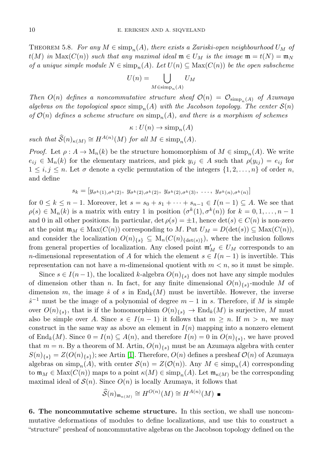THEOREM 5.8. For any  $M \in \text{simp}_n(A)$ , there exists a Zariski-open neighbourhood  $U_M$  of  $t(M)$  in  $\text{Max}(C(n))$  such that any maximal ideal  $\mathfrak{m} \in U_M$  is the image  $\mathfrak{m} = t(N) = \mathfrak{m}_N$ of a unique simple module  $N \in \text{simp}_n(A)$ . Let  $U(n) \subseteq \text{Max}(C(n))$  be the open subscheme

$$
U(n) = \bigcup_{M \in \text{simp}_n(A)} U_M
$$

Then  $O(n)$  defines a noncommutative structure sheaf  $O(n) = O_{\text{simp}_n(A)}$  of Azumaya algebras on the topological space  $\text{simp}_n(A)$  with the Jacobson topology. The center  $\mathcal{S}(n)$ of  $\mathcal{O}(n)$  defines a scheme structure on  $\text{simp}_n(A)$ , and there is a morphism of schemes

$$
\kappa: U(n) \to \mathrm{simp}_n(A)
$$

such that  $\widehat{S}(n)_{\kappa(M)} \cong H^{A(n)}(M)$  for all  $M \in \text{simp}_n(A)$ .

*Proof.* Let  $\rho : A \to M_n(k)$  be the structure homomorphism of  $M \in \text{simp}_n(A)$ . We write  $e_{ij} \in M_n(k)$  for the elementary matrices, and pick  $y_{ij} \in A$  such that  $\rho(y_{ij}) = e_{ij}$  for  $1 \leq i, j \leq n$ . Let  $\sigma$  denote a cyclic permutation of the integers  $\{1, 2, \ldots, n\}$  of order n, and define

$$
s_k = [y_{\sigma^k(1), \sigma^k(2)}, y_{\sigma^k(2), \sigma^k(2)}, y_{\sigma^k(2), \sigma^k(3)}, \ldots, y_{\sigma^k(n), \sigma^k(n)}]
$$

for  $0 \leq k \leq n-1$ . Moreover, let  $s = s_0 + s_1 + \cdots + s_{n-1} \in I(n-1) \subseteq A$ . We see that  $\rho(s) \in M_n(k)$  is a matrix with entry 1 in position  $(\sigma^k(1), \sigma^k(n))$  for  $k = 0, 1, \ldots, n-1$ and 0 in all other positions. In particular, det  $\rho(s) = \pm 1$ , hence det $(s) \in C(n)$  is non-zero at the point  $\mathfrak{m}_M \in \text{Max}(C(n))$  corresponding to M. Put  $U_M = D(\text{det}(s)) \subseteq \text{Max}(C(n)),$ and consider the localization  $O(n)_{\{s\}} \subseteq M_n(C(n)_{\{\text{det}(s)\}})$ , where the inclusion follows from general properties of localization. Any closed point  $\mathfrak{m}'_M \in U_M$  corresponds to an n-dimensional representation of A for which the element  $s \in I(n-1)$  is invertible. This representation can not have a m-dimensional quotient with  $m < n$ , so it must be simple.

Since  $s \in I(n-1)$ , the localized k-algebra  $O(n)_{\{s\}}$  does not have any simple modules of dimension other than n. In fact, for any finite dimensional  $O(n)_{\{s\}}$ -module M of dimension m, the image  $\hat{s}$  of s in End<sub>k</sub>(M) must be invertible. However, the inverse  $\hat{s}^{-1}$  must be the image of a polynomial of degree  $m-1$  in s. Therefore, if M is simple over  $O(n)_{\{s\}}$ , that is if the homomorphism  $O(n)_{\{s\}} \to \text{End}_k(M)$  is surjective, M must also be simple over A. Since  $s \in I(n-1)$  it follows that  $m \geq n$ . If  $m > n$ , we may construct in the same way as above an element in  $I(n)$  mapping into a nonzero element of  $\text{End}_k(M)$ . Since  $0 = I(n) \subseteq A(n)$ , and therefore  $I(n) = 0$  in  $O(n)_{\{s\}}$ , we have proved that  $m = n$ . By a theorem of M. Artin,  $O(n)_{\{s\}}$  must be an Azumaya algebra with center  $S(n)_{\{s\}} = Z(O(n)_{\{s\}});$  see Artin [\[1\]](#page-13-3). Therefore,  $O(n)$  defines a presheaf  $O(n)$  of Azumaya algebras on  $\text{simp}_n(A)$ , with center  $\mathcal{S}(n) = Z(\mathcal{O}(n))$ . Any  $M \in \text{simp}_n(A)$  corresponding to  $\mathfrak{m}_M \in \text{Max}(C(n))$  maps to a point  $\kappa(M) \in \text{simp}_n(A)$ . Let  $\mathfrak{m}_{\kappa(M)}$  be the corresponding maximal ideal of  $\mathcal{S}(n)$ . Since  $O(n)$  is locally Azumaya, it follows that

$$
\widehat{\mathcal{S}}(n)_{\mathfrak{m}_{\kappa(M)}} \cong H^{O(n)}(M) \cong H^{A(n)}(M) \blacksquare
$$

6. The noncommutative scheme structure. In this section, we shall use noncommutative deformations of modules to define localizations, and use this to construct a "structure" presheaf of noncommutative algebras on the Jacobson topology defined on the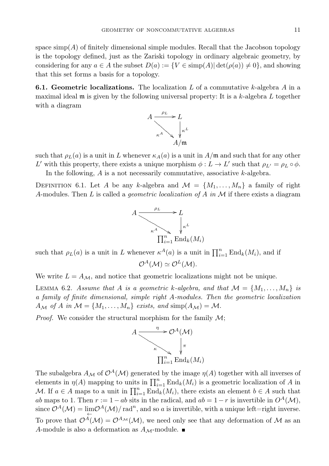space  $\text{simp}(A)$  of finitely dimensional simple modules. Recall that the Jacobson topology is the topology defined, just as the Zariski topology in ordinary algebraic geometry, by considering for any  $a \in A$  the subset  $D(a) := \{V \in \text{simp}(A) | \det(\rho(a)) \neq 0\}$ , and showing that this set forms a basis for a topology.

**6.1. Geometric localizations.** The localization L of a commutative k-algebra A in a maximal ideal  $\mathfrak m$  is given by the following universal property: It is a k-algebra L together with a diagram



such that  $\rho_L(a)$  is a unit in L whenever  $\kappa_A(a)$  is a unit in  $A/\mathfrak{m}$  and such that for any other L' with this property, there exists a unique morphism  $\phi: L \to L'$  such that  $\rho_{L'} = \rho_L \circ \phi$ . In the following,  $A$  is a not necessarily commutative, associative  $k$ -algebra.

DEFINITION 6.1. Let A be any k-algebra and  $\mathcal{M} = \{M_1, \ldots, M_n\}$  a family of right A-modules. Then L is called a *geometric localization of A in*  $M$  if there exists a diagram



such that  $\rho_L(a)$  is a unit in L whenever  $\kappa^A(a)$  is a unit in  $\prod_{i=1}^n \text{End}_k(M_i)$ , and if

$$
\mathcal{O}^A(\mathcal{M}) \simeq \mathcal{O}^L(\mathcal{M}).
$$

We write  $L = A_{\mathcal{M}}$ , and notice that geometric localizations might not be unique.

LEMMA 6.2. Assume that A is a geometric k-algebra, and that  $\mathcal{M} = \{M_1, \ldots, M_n\}$  is a family of finite dimensional, simple right A-modules. Then the geometric localization  $A_{\mathcal{M}}$  of A in  $\mathcal{M} = \{M_1, \ldots, M_n\}$  exists, and simp $(A_{\mathcal{M}}) = \mathcal{M}$ .

*Proof.* We consider the structural morphism for the family  $\mathcal{M}$ ;



The subalgebra  $A_{\mathcal{M}}$  of  $\mathcal{O}^A(\mathcal{M})$  generated by the image  $\eta(A)$  together with all inverses of elements in  $\eta(A)$  mapping to units in  $\prod_{i=1}^n \text{End}_k(M_i)$  is a geometric localization of A in M. If  $a \in A$  maps to a unit in  $\prod_{i=1}^n \text{End}_k(M_i)$ , there exists an element  $b \in A$  such that ab maps to 1. Then  $r := 1 - ab$  sits in the radical, and  $ab = 1 - r$  is invertible in  $O<sup>A</sup>(\mathcal{M})$ , since  $\mathcal{O}^A(\mathcal{M}) = \lim_{\leftarrow} \mathcal{O}^A(\mathcal{M})/\text{rad}^n$ , and so a is invertible, with a unique left=right inverse. To prove that  $\mathcal{O}(\mathcal{M}) = \mathcal{O}^{A_{\mathcal{M}}}(\mathcal{M})$ , we need only see that any deformation of M as an A-module is also a deformation as  $A_{\mathcal{M}}$ -module.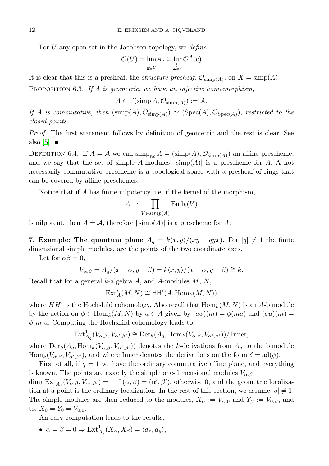For  $U$  any open set in the Jacobson topology, we *define* 

$$
\mathcal{O}(U) = \lim_{\substack{\leftarrow \\ \underline{c} \subseteq U}} A_{\underline{c}} \subseteq \lim_{\substack{\underline{c} \subseteq U}} \mathcal{O}^A(\underline{c})
$$

It is clear that this is a presheaf, the *structure presheaf*,  $\mathcal{O}_{\text{simp}(A)}$ , on  $X = \text{simp}(A)$ .

PROPOSITION 6.3. If A is geometric, we have an injective homomorphism,

 $A \subset \Gamma(\text{simp }A,\mathcal{O}_{\text{simp}(A)}) := A.$ 

If A is commutative, then  $(\text{simp}(A), \mathcal{O}_{\text{simp}(A)}) \simeq (\text{Spec}(A), \mathcal{O}_{\text{Spec}(A)})$ , restricted to the closed points.

Proof. The first statement follows by definition of geometric and the rest is clear. See also  $|5|$ .

DEFINITION 6.4. If  $A = A$  we call  $\dim_{\text{Pic}} A = (\dim_{\text{P}}(A), \mathcal{O}_{\text{simp}(A)})$  an affine prescheme, and we say that the set of simple A-modules  $|\text{simp}(A)|$  is a prescheme for A. A not necessarily commutative prescheme is a topological space with a presheaf of rings that can be covered by affine preschemes.

Notice that if A has finite nilpotency, i.e. if the kernel of the morphism,

$$
A \to \prod_{V \in \text{simp}(A)} \text{End}_k(V)
$$

is nilpotent, then  $A = \mathcal{A}$ , therefore  $|\text{simp}(A)|$  is a prescheme for A.

7. Example: The quantum plane  $A_q = k\langle x, y\rangle/(xy - qyx)$ . For  $|q| \neq 1$  the finite dimensional simple modules, are the points of the two coordinate axes.

Let for  $\alpha\beta = 0$ ,

$$
V_{\alpha,\beta} = A_q/(x - \alpha, y - \beta) = k \langle x, y \rangle / (x - \alpha, y - \beta) \cong k.
$$

Recall that for a general  $k$ -algebra A, and A-modules  $M, N$ ,

 $\mathrm{Ext}^i_A(M,N)\cong \mathsf{HH}^i(A,\mathrm{Hom}_k(M,N))$ 

where  $HH$  is the Hochshild cohomology. Also recall that  $\text{Hom}_k(M, N)$  is an A-bimodule by the action on  $\phi \in \text{Hom}_k(M, N)$  by  $a \in A$  given by  $(a\phi)(m) = \phi(ma)$  and  $(\phi a)(m) =$  $\phi(m)a$ . Computing the Hochshild cohomology leads to,

$$
\mathrm{Ext}^1_{A_q}(V_{\alpha,\beta}, V_{\alpha',\beta'}) \cong \mathrm{Der}_k(A_q, \mathrm{Hom}_k(V_{\alpha,\beta}, V_{\alpha',\beta'}))/\mathrm{Inner},
$$

where  $\text{Der}_k(A_q, \text{Hom}_k(V_{\alpha,\beta}, V_{\alpha',\beta'}))$  denotes the k-derivations from  $A_q$  to the bimodule  $\text{Hom}_k(V_{\alpha,\beta}, V_{\alpha',\beta'})$ , and where Inner denotes the derivations on the form  $\delta = \text{ad}(\phi)$ .

First of all, if  $q = 1$  we have the ordinary commutative affine plane, and everything is known. The points are exactly the simple one-dimensional modules  $V_{\alpha,\beta}$ ,  $\dim_k \text{Ext}^1_{A_1}(V_{\alpha,\beta}, V_{\alpha',\beta'}) = 1$  if  $(\alpha, \beta) = (\alpha', \beta')$ , otherwise 0, and the geometric localization at a point is the ordinary localization. In the rest of this section, we assume  $|q| \neq 1$ . The simple modules are then reduced to the modules,  $X_{\alpha} := V_{\alpha,0}$  and  $Y_{\beta} := V_{0,\beta}$ , and to,  $X_0 = Y_0 = V_{0,0}$ .

An easy computation leads to the results,

•  $\alpha = \beta = 0 \Rightarrow \text{Ext}_{A_q}^1(X_\alpha, X_\beta) = \langle d_x, d_y \rangle,$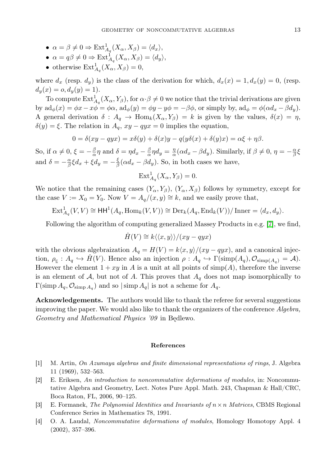- $\alpha = \beta \neq 0 \Rightarrow \text{Ext}_{A_q}^1(X_\alpha, X_\beta) = \langle d_x \rangle,$
- $\alpha = q\beta \neq 0 \Rightarrow \text{Ext}_{A_q}^1(X_\alpha, X_\beta) = \langle d_y \rangle,$
- otherwise  $\text{Ext}_{A_q}^1(X_\alpha,X_\beta)=0,$

where  $d_x$  (resp.  $d_y$ ) is the class of the derivation for which,  $d_x(x) = 1, d_x(y) = 0$ , (resp.  $d_y(x) = o, d_y(y) = 1$ .

To compute  $\text{Ext}^1_{A_q}(X_\alpha,Y_\beta)$ , for  $\alpha \cdot \beta \neq 0$  we notice that the trivial derivations are given by  $\mathrm{ad}_{\phi}(x) = \phi x - x\phi = \phi \alpha$ ,  $\mathrm{ad}_{\phi}(y) = \phi y - y\phi = -\beta \phi$ , or simply by,  $\mathrm{ad}_{\phi} = \phi(\alpha d_x - \beta d_y)$ . A general derivation  $\delta: A_q \to \text{Hom}_k(X_\alpha, Y_\beta) = k$  is given by the values,  $\delta(x) = \eta$ ,  $\delta(y) = \xi$ . The relation in  $A_q$ ,  $xy - qyx = 0$  implies the equation,

$$
0 = \delta(xy - qyx) = x\delta(y) + \delta(x)y - q(y\delta(x) + \delta(y)x) = \alpha\xi + \eta\beta.
$$

So, if  $\alpha \neq 0$ ,  $\xi = -\frac{\beta}{\alpha}\eta$  and  $\delta = \eta d_x - \frac{\beta}{\alpha}\eta d_y = \frac{\eta}{\alpha}(\alpha d_x - \beta d_y)$ . Similarly, if  $\beta \neq 0$ ,  $\eta = -\frac{\alpha}{\beta}\xi$ and  $\delta = -\frac{\alpha}{\beta} \xi d_x + \xi d_y = -\frac{\xi}{\beta} (\alpha d_x - \beta d_y)$ . So, in both cases we have,

$$
\text{Ext}_{A_q}^1(X_\alpha, Y_\beta) = 0.
$$

We notice that the remaining cases  $(Y_{\alpha}, Y_{\beta}), (Y_{\alpha}, X_{\beta})$  follows by symmetry, except for the case  $V := X_0 = Y_0$ . Now  $V = A_q/(x, y) \cong k$ , and we easily prove that,

$$
\mathrm{Ext}^1_{A_q}(V,V) \cong \mathrm{HH}^1(A_q, \mathrm{Hom}_k(V,V)) \cong \mathrm{Der}_k(A_q, \mathrm{End}_k(V))/\mathrm{Inner} = \langle d_x, d_y \rangle.
$$

Following the algorithm of computing generalized Massey Products in e.g. [\[7\]](#page-14-2), we find,

$$
\hat{H}(V) \cong k\langle\langle x,y\rangle\rangle / (xy-qyx)
$$

with the obvious algebraization  $A_q = H(V) = k\langle x, y \rangle / (xy - qyx)$ , and a canonical injection,  $\rho_{\underline{c}} : A_q \hookrightarrow H(V)$ . Hence also an injection  $\rho : A_q \hookrightarrow \Gamma(\text{simp}(A_q), \mathcal{O}_{\text{simp}(A_q)} = \mathcal{A})$ . However the element  $1+xy$  in A is a unit at all points of simp(A), therefore the inverse is an element of  $A$ , but not of A. This proves that  $A<sub>q</sub>$  does not map isomorphically to  $\Gamma(\text{simp }A_q, \mathcal{O}_{\text{simp }A_q})$  and so  $|\operatorname{simp }A_q|$  is not a scheme for  $A_q$ .

Acknowledgements. The authors would like to thank the referee for several suggestions improving the paper. We would also like to thank the organizers of the conference Algebra, Geometry and Mathematical Physics '09 in Będlewo.

#### References

- <span id="page-13-3"></span>[1] M. Artin, On Azumaya algebras and finite dimensional representations of rings, J. Algebra 11 (1969), 532–563.
- <span id="page-13-1"></span>[2] E. Eriksen, An introduction to noncommutative deformations of modules, in: Noncommutative Algebra and Geometry, Lect. Notes Pure Appl. Math. 243, Chapman & Hall/CRC, Boca Raton, FL, 2006, 90–125.
- <span id="page-13-2"></span>[3] E. Formanek, The Polynomial Identities and Invariants of  $n \times n$  Matrices, CBMS Regional Conference Series in Mathematics 78, 1991.
- <span id="page-13-0"></span>[4] O. A. Laudal, Noncommutative deformations of modules, Homology Homotopy Appl. 4 (2002), 357–396.